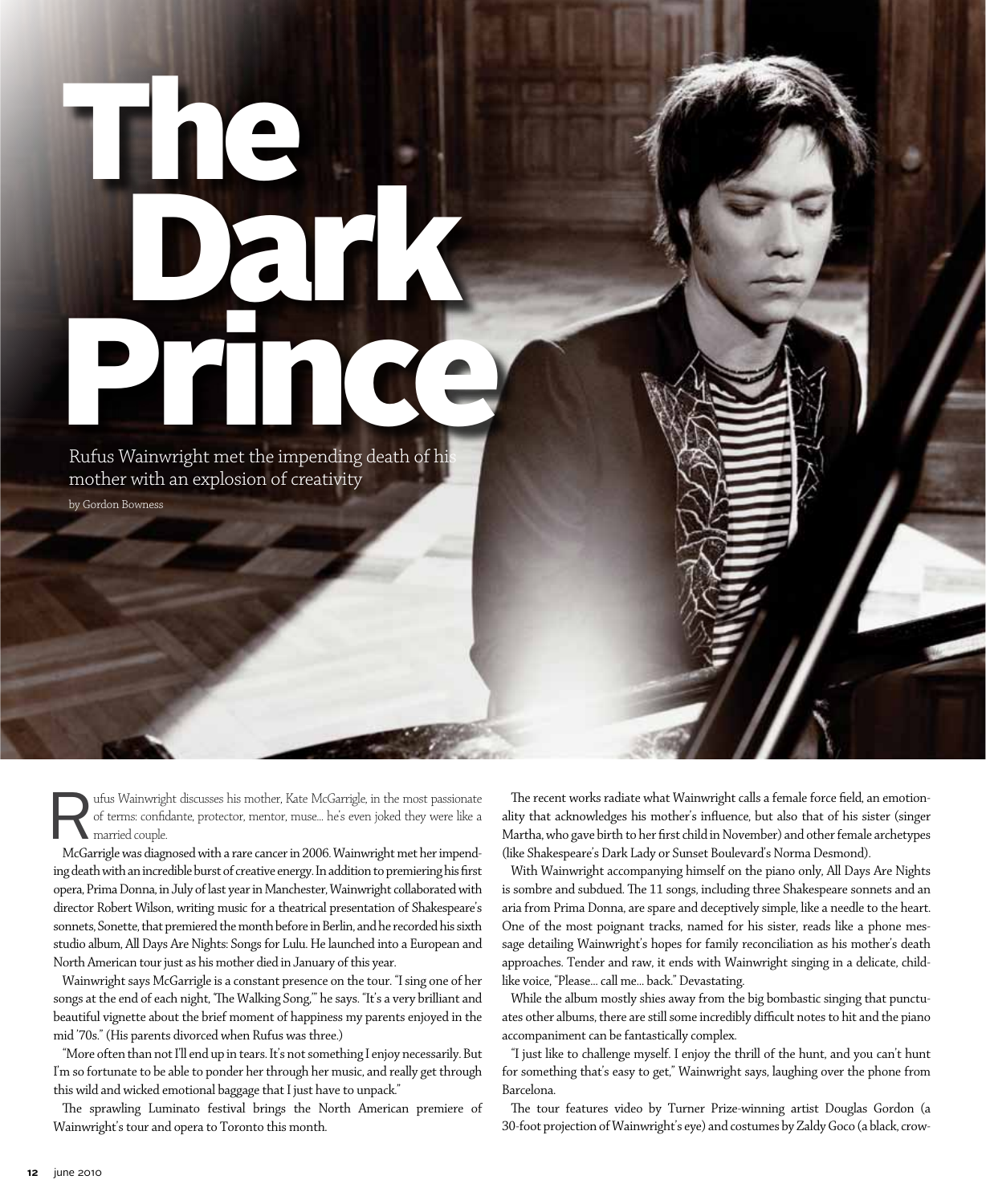## The Dark Rufus Wainwright met the impending death of his

Rufus Wainwright met the impending death of hi mother with an explosion of creativity by Gordon Bowness

The ufus Wainwright discusses his mother, Kate McGarrigle, in the most passionate<br>of terms: confidante, protector, mentor, muse... he's even joked they were like a<br>married couple.<br>McGarrigle was diagnosed with a rare cance of terms: confidante, protector, mentor, muse… he's even joked they were like a married couple.

McGarrigle was diagnosed with a rare cancer in 2006. Wainwright met her impending death with an incredible burst of creative energy. In addition to premiering his first opera, Prima Donna, in July of last year in Manchester, Wainwright collaborated with director Robert Wilson, writing music for a theatrical presentation of Shakespeare's sonnets, Sonette, that premiered the month before in Berlin, and he recorded his sixth studio album, All Days Are Nights: Songs for Lulu. He launched into a European and North American tour just as his mother died in January of this year.

Wainwright says McGarrigle is a constant presence on the tour. "I sing one of her songs at the end of each night, 'The Walking Song,'" he says. "It's a very brilliant and beautiful vignette about the brief moment of happiness my parents enjoyed in the mid '70s." (His parents divorced when Rufus was three.)

"More often than not I'll end up in tears. It's not something I enjoy necessarily. But I'm so fortunate to be able to ponder her through her music, and really get through this wild and wicked emotional baggage that I just have to unpack."

The sprawling Luminato festival brings the North American premiere of Wainwright's tour and opera to Toronto this month.

The recent works radiate what Wainwright calls a female force field, an emotionality that acknowledges his mother's influence, but also that of his sister (singer Martha, who gave birth to her first child in November) and other female archetypes (like Shakespeare's Dark Lady or Sunset Boulevard's Norma Desmond).

With Wainwright accompanying himself on the piano only, All Days Are Nights is sombre and subdued. The 11 songs, including three Shakespeare sonnets and an aria from Prima Donna, are spare and deceptively simple, like a needle to the heart. One of the most poignant tracks, named for his sister, reads like a phone message detailing Wainwright's hopes for family reconciliation as his mother's death approaches. Tender and raw, it ends with Wainwright singing in a delicate, childlike voice, "Please… call me… back." Devastating.

While the album mostly shies away from the big bombastic singing that punctuates other albums, there are still some incredibly difficult notes to hit and the piano accompaniment can be fantastically complex.

"I just like to challenge myself. I enjoy the thrill of the hunt, and you can't hunt for something that's easy to get," Wainwright says, laughing over the phone from Barcelona.

The tour features video by Turner Prize-winning artist Douglas Gordon (a 30-foot projection of Wainwright's eye) and costumes by Zaldy Goco (a black, crow-